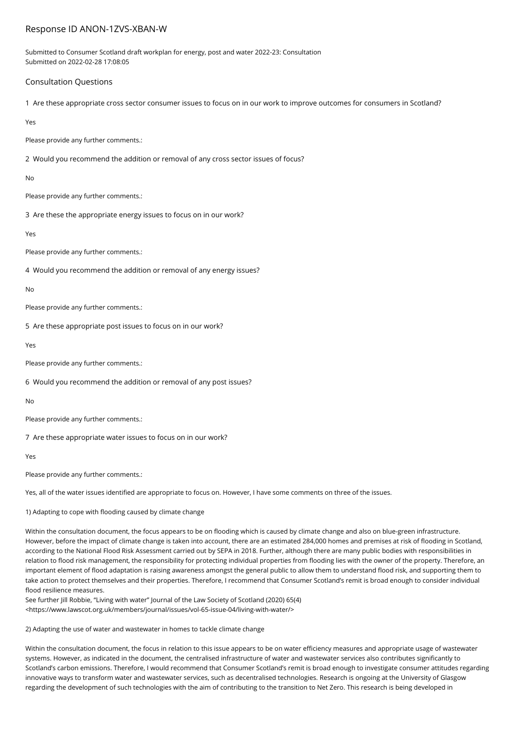## Response ID ANON-1ZVS-XBAN-W

Submitted to Consumer Scotland draft workplan for energy, post and water 2022-23: Consultation Submitted on 2022-02-28 17:08:05

## Consultation Questions

1 Are these appropriate cross sector consumer issues to focus on in our work to improve outcomes for consumers in Scotland?

Yes

Please provide any further comments.:

2 Would you recommend the addition or removal of any cross sector issues of focus?

No

Please provide any further comments.:

3 Are these the appropriate energy issues to focus on in our work?

Yes

Please provide any further comments.:

4 Would you recommend the addition or removal of any energy issues?

No

Please provide any further comments.:

5 Are these appropriate post issues to focus on in our work?

Yes

Please provide any further comments.:

6 Would you recommend the addition or removal of any post issues?

No

Please provide any further comments.:

7 Are these appropriate water issues to focus on in our work?

Yes

Please provide any further comments.:

Yes, all of the water issues identified are appropriate to focus on. However, I have some comments on three of the issues.

1) Adapting to cope with flooding caused by climate change

Within the consultation document, the focus appears to be on flooding which is caused by climate change and also on blue-green infrastructure. However, before the impact of climate change is taken into account, there are an estimated 284,000 homes and premises at risk of flooding in Scotland, according to the National Flood Risk Assessment carried out by SEPA in 2018. Further, although there are many public bodies with responsibilities in relation to flood risk management, the responsibility for protecting individual properties from flooding lies with the owner of the property. Therefore, an important element of flood adaptation is raising awareness amongst the general public to allow them to understand flood risk, and supporting them to take action to protect themselves and their properties. Therefore, I recommend that Consumer Scotland's remit is broad enough to consider individual flood resilience measures.

See further Jill Robbie, "Living with water" Journal of the Law Society of Scotland (2020) 65(4) <https://www.lawscot.org.uk/members/journal/issues/vol-65-issue-04/living-with-water/>

2) Adapting the use of water and wastewater in homes to tackle climate change

Within the consultation document, the focus in relation to this issue appears to be on water efficiency measures and appropriate usage of wastewater systems. However, as indicated in the document, the centralised infrastructure of water and wastewater services also contributes significantly to Scotland's carbon emissions. Therefore, I would recommend that Consumer Scotland's remit is broad enough to investigate consumer attitudes regarding innovative ways to transform water and wastewater services, such as decentralised technologies. Research is ongoing at the University of Glasgow regarding the development of such technologies with the aim of contributing to the transition to Net Zero. This research is being developed in